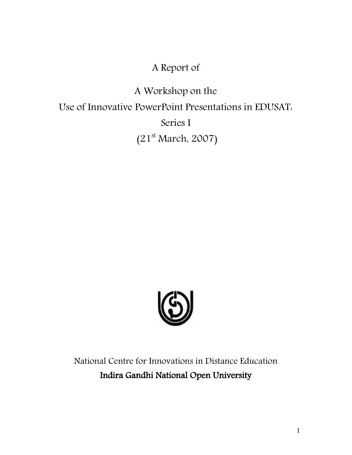# A Report of

A Workshop on the Use of Innovative PowerPoint Presentations in EDUSAT: Series I (21 st March, 2007)



National Centre for Innovations in Distance Education Indira Gandhi National Open University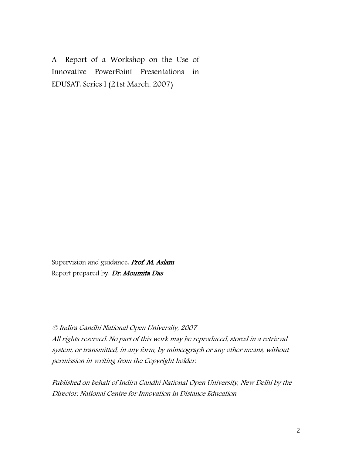A Report of a Workshop on the Use of Innovative PowerPoint Presentations in EDUSAT: Series I (21st March, 2007)

Supervision and guidance. Prof. M. Aslam Report prepared by: Dr. Moumita Das

### © Indira Gandhi National Open University, 2007

All rights reserved. No part of this work may be reproduced, stored in a retrieval system, or transmitted, in any form, by mimeograph or any other means, without permission in writing from the Copyright holder.

Published on behalf of Indira Gandhi National Open University, New Delhi by the Director, National Centre for Innovation in Distance Education.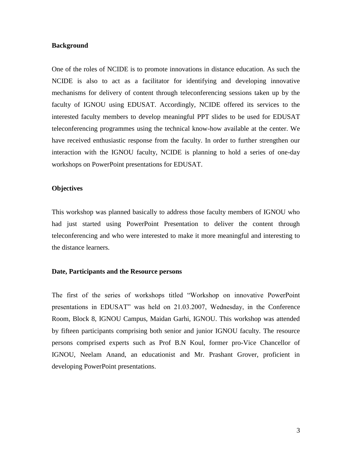#### **Background**

One of the roles of NCIDE is to promote innovations in distance education. As such the NCIDE is also to act as a facilitator for identifying and developing innovative mechanisms for delivery of content through teleconferencing sessions taken up by the faculty of IGNOU using EDUSAT. Accordingly, NCIDE offered its services to the interested faculty members to develop meaningful PPT slides to be used for EDUSAT teleconferencing programmes using the technical know-how available at the center. We have received enthusiastic response from the faculty. In order to further strengthen our interaction with the IGNOU faculty, NCIDE is planning to hold a series of one-day workshops on PowerPoint presentations for EDUSAT.

#### **Objectives**

This workshop was planned basically to address those faculty members of IGNOU who had just started using PowerPoint Presentation to deliver the content through teleconferencing and who were interested to make it more meaningful and interesting to the distance learners.

#### **Date, Participants and the Resource persons**

The first of the series of workshops titled "Workshop on innovative PowerPoint presentations in EDUSAT" was held on 21.03.2007, Wednesday, in the Conference Room, Block 8, IGNOU Campus, Maidan Garhi, IGNOU. This workshop was attended by fifteen participants comprising both senior and junior IGNOU faculty. The resource persons comprised experts such as Prof B.N Koul, former pro-Vice Chancellor of IGNOU, Neelam Anand, an educationist and Mr. Prashant Grover, proficient in developing PowerPoint presentations.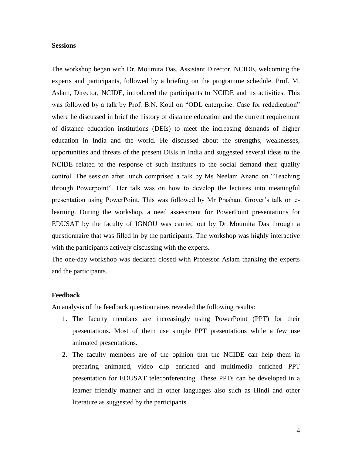#### **Sessions**

The workshop began with Dr. Moumita Das, Assistant Director, NCIDE, welcoming the experts and participants, followed by a briefing on the programme schedule. Prof. M. Aslam, Director, NCIDE, introduced the participants to NCIDE and its activities. This was followed by a talk by Prof. B.N. Koul on "ODL enterprise: Case for rededication" where he discussed in brief the history of distance education and the current requirement of distance education institutions (DEIs) to meet the increasing demands of higher education in India and the world. He discussed about the strengths, weaknesses, opportunities and threats of the present DEIs in India and suggested several ideas to the NCIDE related to the response of such institutes to the social demand their quality control. The session after lunch comprised a talk by Ms Neelam Anand on "Teaching through Powerpoint". Her talk was on how to develop the lectures into meaningful presentation using PowerPoint. This was followed by Mr Prashant Grover's talk on elearning. During the workshop, a need assessment for PowerPoint presentations for EDUSAT by the faculty of IGNOU was carried out by Dr Moumita Das through a questionnaire that was filled in by the participants. The workshop was highly interactive with the participants actively discussing with the experts.

The one-day workshop was declared closed with Professor Aslam thanking the experts and the participants.

#### **Feedback**

An analysis of the feedback questionnaires revealed the following results:

- 1. The faculty members are increasingly using PowerPoint (PPT) for their presentations. Most of them use simple PPT presentations while a few use animated presentations.
- 2. The faculty members are of the opinion that the NCIDE can help them in preparing animated, video clip enriched and multimedia enriched PPT presentation for EDUSAT teleconferencing. These PPTs can be developed in a learner friendly manner and in other languages also such as Hindi and other literature as suggested by the participants.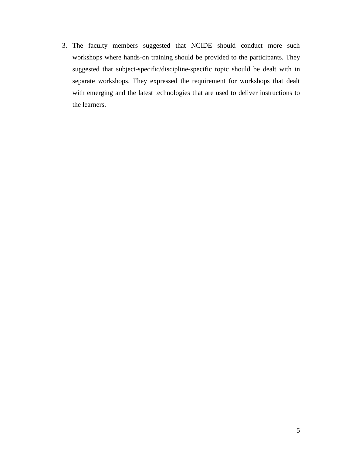3. The faculty members suggested that NCIDE should conduct more such workshops where hands-on training should be provided to the participants. They suggested that subject-specific/discipline-specific topic should be dealt with in separate workshops. They expressed the requirement for workshops that dealt with emerging and the latest technologies that are used to deliver instructions to the learners.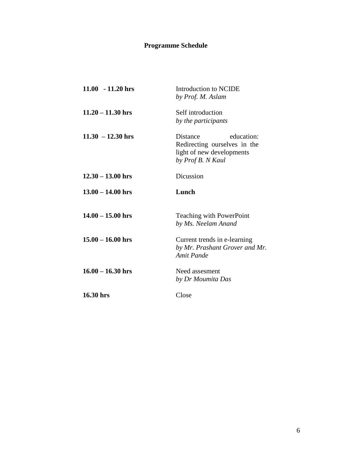## **Programme Schedule**

| $11.00 - 11.20$ hrs | Introduction to NCIDE<br>by Prof. M. Aslam                                                               |
|---------------------|----------------------------------------------------------------------------------------------------------|
| $11.20 - 11.30$ hrs | Self introduction<br>by the participants                                                                 |
| $11.30 - 12.30$ hrs | education:<br>Distance<br>Redirecting ourselves in the<br>light of new developments<br>by Prof B. N Kaul |
| $12.30 - 13.00$ hrs | Dicussion                                                                                                |
| $13.00 - 14.00$ hrs | Lunch                                                                                                    |
| $14.00 - 15.00$ hrs | <b>Teaching with PowerPoint</b><br>by Ms. Neelam Anand                                                   |
| $15.00 - 16.00$ hrs | Current trends in e-learning<br>by Mr. Prashant Grover and Mr.<br><b>Amit Pande</b>                      |
| $16.00 - 16.30$ hrs | Need assesment<br>by Dr Moumita Das                                                                      |
| 16.30 hrs           | Close                                                                                                    |